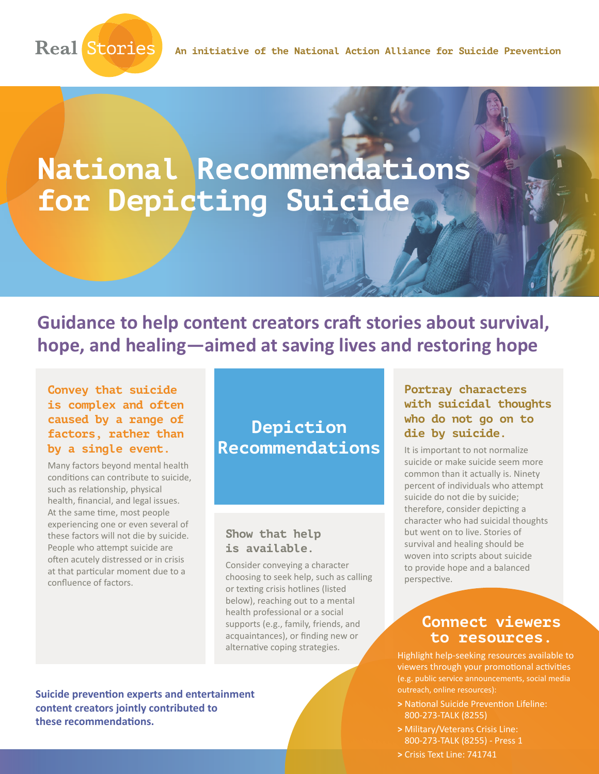

# **National Recommendations for Depicting Suicide**

**Guidance to help content creators craft stories about survival, hope, and healing—aimed at saving lives and restoring hope**

#### **Convey that suicide is complex and often caused by a range of factors, rather than by a single event.**

Many factors beyond mental health conditions can contribute to suicide, such as relationship, physical health, financial, and legal issues. At the same time, most people experiencing one or even several of these factors will not die by suicide. People who attempt suicide are often acutely distressed or in crisis at that particular moment due to a confluence of factors.

## **Depiction Recommendations**

#### **Show that help is available.**

Consider conveying a character choosing to seek help, such as calling or texting crisis hotlines (listed below), reaching out to a mental health professional or a social supports (e.g., family, friends, and acquaintances), or finding new or alternative coping strategies.

**Portray characters with suicidal thoughts who do not go on to die by suicide.**

It is important to not normalize suicide or make suicide seem more common than it actually is. Ninety percent of individuals who attempt suicide do not die by suicide; therefore, consider depicting a character who had suicidal thoughts but went on to live. Stories of survival and healing should be woven into scripts about suicide to provide hope and a balanced perspective.

### **Connect viewers to resources.**

Highlight help-seeking resources available to viewers through your promotional activities (e.g. public service announcements, social media outreach, online resources):

- **>** National Suicide Prevention Lifeline: 800-273-TALK (8255)
- **>** Military/Veterans Crisis Line: 800-273-TALK (8255) - Press 1
- **>** Crisis Text Line: 741741

**Suicide prevention experts and entertainment content creators jointly contributed to these recommendations.**